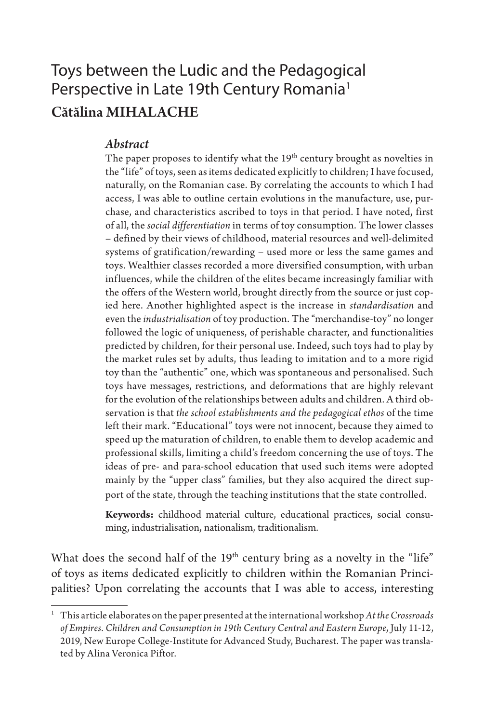# Toys between the Ludic and the Pedagogical Perspective in Late 19th Century Romania<sup>1</sup> Cătălina MIHALACHE

#### *Abstract*

The paper proposes to identify what the  $19<sup>th</sup>$  century brought as novelties in the "life" of toys, seen as items dedicated explicitly to children; I have focused, naturally, on the Romanian case. By correlating the accounts to which I had access, I was able to outline certain evolutions in the manufacture, use, purchase, and characteristics ascribed to toys in that period. I have noted, first of all, the *social differentiation* in terms of toy consumption. The lower classes – defined by their views of childhood, material resources and well-delimited systems of gratification/rewarding – used more or less the same games and toys. Wealthier classes recorded a more diversified consumption, with urban influences, while the children of the elites became increasingly familiar with the offers of the Western world, brought directly from the source or just copied here. Another highlighted aspect is the increase in *standardisation* and even the *industrialisation* of toy production. The "merchandise-toy" no longer followed the logic of uniqueness, of perishable character, and functionalities predicted by children, for their personal use. Indeed, such toys had to play by the market rules set by adults, thus leading to imitation and to a more rigid toy than the "authentic" one, which was spontaneous and personalised. Such toys have messages, restrictions, and deformations that are highly relevant for the evolution of the relationships between adults and children. A third observation is that *the school establishments and the pedagogical ethos* of the time left their mark. "Educational" toys were not innocent, because they aimed to speed up the maturation of children, to enable them to develop academic and professional skills, limiting a child's freedom concerning the use of toys. The ideas of pre- and para-school education that used such items were adopted mainly by the "upper class" families, but they also acquired the direct support of the state, through the teaching institutions that the state controlled.

**Keywords:** childhood material culture, educational practices, social consuming, industrialisation, nationalism, traditionalism.

What does the second half of the 19<sup>th</sup> century bring as a novelty in the "life" of toys as items dedicated explicitly to children within the Romanian Principalities? Upon correlating the accounts that I was able to access, interesting

<sup>1</sup> This article elaborates on the paper presented at the international workshop *At the Crossroads of Empires. Children and Consumption in 19th Century Central and Eastern Europe*, July 11-12, 2019, New Europe College-Institute for Advanced Study, Bucharest. The paper was translated by Alina Veronica Piftor.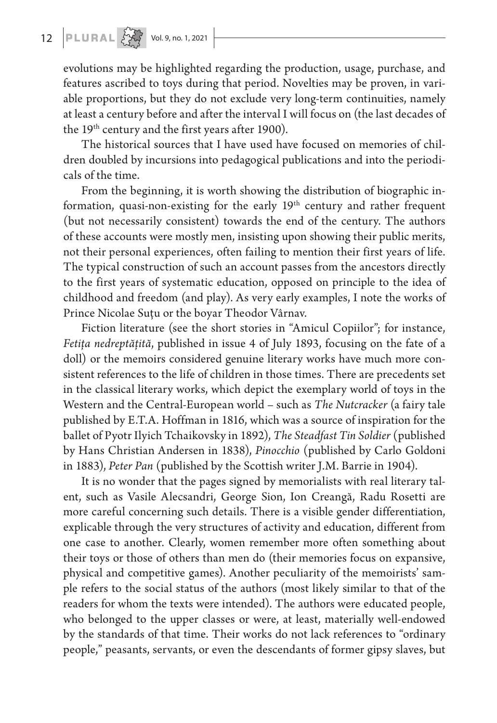evolutions may be highlighted regarding the production, usage, purchase, and features ascribed to toys during that period. Novelties may be proven, in variable proportions, but they do not exclude very long-term continuities, namely at least a century before and after the interval I will focus on (the last decades of the 19<sup>th</sup> century and the first years after 1900).

The historical sources that I have used have focused on memories of children doubled by incursions into pedagogical publications and into the periodicals of the time.

From the beginning, it is worth showing the distribution of biographic information, quasi-non-existing for the early 19<sup>th</sup> century and rather frequent (but not necessarily consistent) towards the end of the century. The authors of these accounts were mostly men, insisting upon showing their public merits, not their personal experiences, often failing to mention their first years of life. The typical construction of such an account passes from the ancestors directly to the first years of systematic education, opposed on principle to the idea of childhood and freedom (and play). As very early examples, I note the works of Prince Nicolae Suţu or the boyar Theodor Vârnav.

Fiction literature (see the short stories in "Amicul Copiilor"; for instance, *Fetiţa nedreptăţită*, published in issue 4 of July 1893, focusing on the fate of a doll) or the memoirs considered genuine literary works have much more consistent references to the life of children in those times. There are precedents set in the classical literary works, which depict the exemplary world of toys in the Western and the Central-European world – such as *The Nutcracker* (a fairy tale published by E.T.A. Hoffman in 1816, which was a source of inspiration for the ballet of Pyotr Ilyich Tchaikovsky in 1892), *The Steadfast Tin Soldier* (published by Hans Christian Andersen in 1838), *Pinocchio* (published by Carlo Goldoni in 1883), *Peter Pan* (published by the Scottish writer J.M. Barrie in 1904).

It is no wonder that the pages signed by memorialists with real literary talent, such as Vasile Alecsandri, George Sion, Ion Creangă, Radu Rosetti are more careful concerning such details. There is a visible gender differentiation, explicable through the very structures of activity and education, different from one case to another. Clearly, women remember more often something about their toys or those of others than men do (their memories focus on expansive, physical and competitive games). Another peculiarity of the memoirists' sample refers to the social status of the authors (most likely similar to that of the readers for whom the texts were intended). The authors were educated people, who belonged to the upper classes or were, at least, materially well-endowed by the standards of that time. Their works do not lack references to "ordinary people," peasants, servants, or even the descendants of former gipsy slaves, but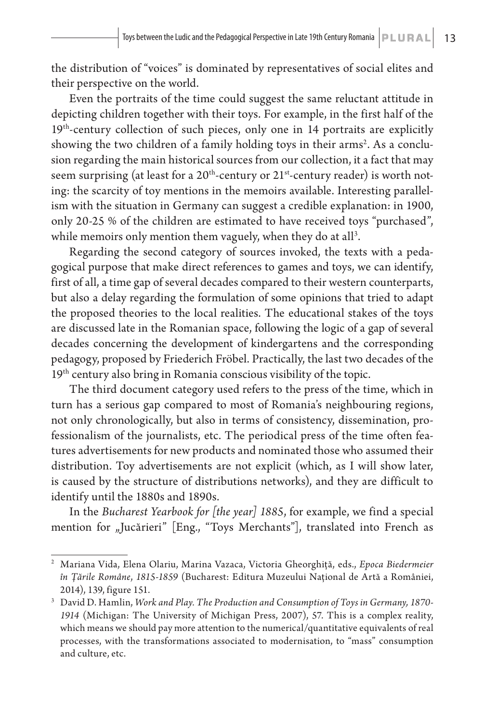the distribution of "voices" is dominated by representatives of social elites and their perspective on the world.

Even the portraits of the time could suggest the same reluctant attitude in depicting children together with their toys. For example, in the first half of the 19<sup>th</sup>-century collection of such pieces, only one in 14 portraits are explicitly showing the two children of a family holding toys in their arms<sup>2</sup>. As a conclusion regarding the main historical sources from our collection, it a fact that may seem surprising (at least for a  $20<sup>th</sup>$ -century or  $21<sup>st</sup>$ -century reader) is worth noting: the scarcity of toy mentions in the memoirs available. Interesting parallelism with the situation in Germany can suggest a credible explanation: in 1900, only 20-25 % of the children are estimated to have received toys "purchased", while memoirs only mention them vaguely, when they do at all $^3.$ 

Regarding the second category of sources invoked, the texts with a pedagogical purpose that make direct references to games and toys, we can identify, first of all, a time gap of several decades compared to their western counterparts, but also a delay regarding the formulation of some opinions that tried to adapt the proposed theories to the local realities. The educational stakes of the toys are discussed late in the Romanian space, following the logic of a gap of several decades concerning the development of kindergartens and the corresponding pedagogy, proposed by Friederich Fröbel. Practically, the last two decades of the 19<sup>th</sup> century also bring in Romania conscious visibility of the topic.

The third document category used refers to the press of the time, which in turn has a serious gap compared to most of Romania's neighbouring regions, not only chronologically, but also in terms of consistency, dissemination, professionalism of the journalists, etc. The periodical press of the time often features advertisements for new products and nominated those who assumed their distribution. Toy advertisements are not explicit (which, as I will show later, is caused by the structure of distributions networks), and they are difficult to identify until the 1880s and 1890s.

In the *Bucharest Yearbook for [the year] 1885*, for example, we find a special mention for "Jucărieri" [Eng., "Toys Merchants"], translated into French as

<sup>2</sup> Mariana Vida, Elena Olariu, Marina Vazaca, Victoria Gheorghiță, eds., *Epoca Biedermeier în Ţările Române*, *1815-1859* (Bucharest: Editura Muzeului Naţional de Artă a României, 2014), 139, figure 151.

<sup>3</sup> David D. Hamlin, *Work and Play. The Production and Consumption of Toys in Germany, 1870- 1914* (Michigan: The University of Michigan Press, 2007), 57. This is a complex reality, which means we should pay more attention to the numerical/quantitative equivalents of real processes, with the transformations associated to modernisation, to "mass" consumption and culture, etc.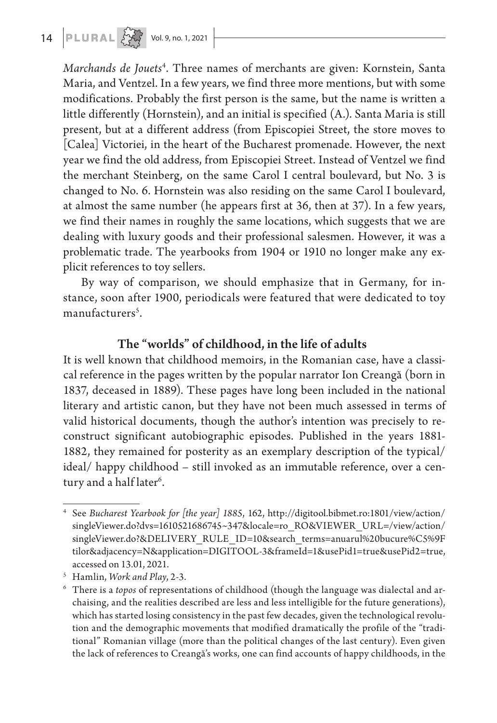**14 PLURAL**  $\left\{\begin{matrix} 1 & 0 \\ 0 & 0 \end{matrix}\right\}$  Vol. 9, no. 1, 2021

*Marchands de Jouets*<sup>4</sup> . Three names of merchants are given: Kornstein, Santa Maria, and Ventzel. In a few years, we find three more mentions, but with some modifications. Probably the first person is the same, but the name is written a little differently (Hornstein), and an initial is specified (A.). Santa Maria is still present, but at a different address (from Episcopiei Street, the store moves to [Calea] Victoriei, in the heart of the Bucharest promenade. However, the next year we find the old address, from Episcopiei Street. Instead of Ventzel we find the merchant Steinberg, on the same Carol I central boulevard, but No. 3 is changed to No. 6. Hornstein was also residing on the same Carol I boulevard, at almost the same number (he appears first at 36, then at 37). In a few years, we find their names in roughly the same locations, which suggests that we are dealing with luxury goods and their professional salesmen. However, it was a problematic trade. The yearbooks from 1904 or 1910 no longer make any explicit references to toy sellers.

By way of comparison, we should emphasize that in Germany, for instance, soon after 1900, periodicals were featured that were dedicated to toy manufacturers<sup>5</sup>.

## The "worlds" of childhood, in the life of adults

It is well known that childhood memoirs, in the Romanian case, have a classical reference in the pages written by the popular narrator Ion Creangă (born in 1837, deceased in 1889). These pages have long been included in the national literary and artistic canon, but they have not been much assessed in terms of valid historical documents, though the author's intention was precisely to reconstruct significant autobiographic episodes. Published in the years 1881- 1882, they remained for posterity as an exemplary description of the typical/ ideal/ happy childhood – still invoked as an immutable reference, over a century and a half later<sup>6</sup>.

<sup>4</sup> See *Bucharest Yearbook for [the year] 1885*, 162, http://digitool.bibmet.ro:1801/view/action/ singleViewer.do?dvs=1610521686745~347&locale=ro\_RO&VIEWER\_URL=/view/action/ singleViewer.do?&DELIVERY\_RULE\_ID=10&search\_terms=anuarul%20bucure%C5%9F tilor&adjacency=N&application=DIGITOOL-3&frameId=1&usePid1=true&usePid2=true, accessed on 13.01, 2021.

<sup>&</sup>lt;sup>5</sup> Hamlin, *Work and Play*, 2-3.<br><sup>6</sup> There is a *topos* of representations of childhood (though the language was dialectal and archaising, and the realities described are less and less intelligible for the future generations), which has started losing consistency in the past few decades, given the technological revolution and the demographic movements that modified dramatically the profile of the "traditional" Romanian village (more than the political changes of the last century). Even given the lack of references to Creangă's works, one can find accounts of happy childhoods, in the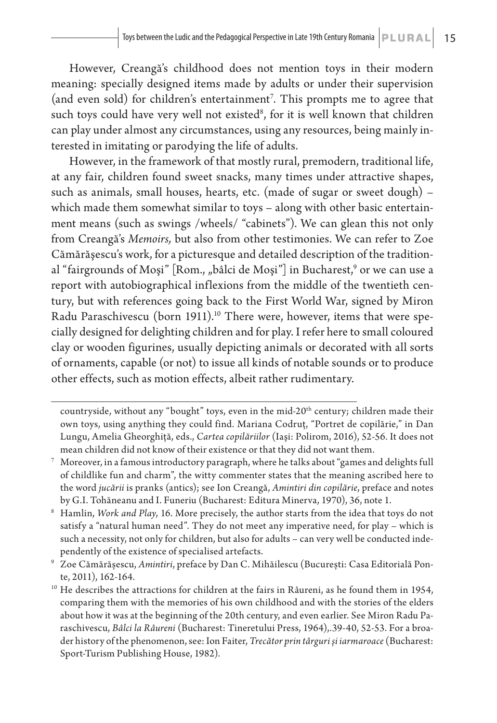However, Creangă's childhood does not mention toys in their modern meaning: specially designed items made by adults or under their supervision (and even sold) for children's entertainment7 . This prompts me to agree that such toys could have very well not existed $^{\rm 8}$ , for it is well known that children can play under almost any circumstances, using any resources, being mainly interested in imitating or parodying the life of adults.

However, in the framework of that mostly rural, premodern, traditional life, at any fair, children found sweet snacks, many times under attractive shapes, such as animals, small houses, hearts, etc. (made of sugar or sweet dough) – which made them somewhat similar to toys – along with other basic entertainment means (such as swings /wheels/ "cabinets"). We can glean this not only from Creangă's *Memoirs,* but also from other testimonies. We can refer to Zoe Cămărăşescu's work, for a picturesque and detailed description of the traditional "fairgrounds of Moşi" [Rom., "bâlci de Moşi"] in Bucharest,<sup>9</sup> or we can use a report with autobiographical inflexions from the middle of the twentieth century, but with references going back to the First World War, signed by Miron Radu Paraschivescu (born 1911).<sup>10</sup> There were, however, items that were specially designed for delighting children and for play. I refer here to small coloured clay or wooden figurines, usually depicting animals or decorated with all sorts of ornaments, capable (or not) to issue all kinds of notable sounds or to produce other effects, such as motion effects, albeit rather rudimentary.

countryside, without any "bought" toys, even in the mid-20<sup>th</sup> century; children made their own toys, using anything they could find. Mariana Codruţ, "Portret de copilărie," in Dan Lungu, Amelia Gheorghiţă, eds., *Cartea copilăriilor* (Iaşi: Polirom, 2016), 52-56. It does not mean children did not know of their existence or that they did not want them.

<sup>7</sup> Moreover, in a famous introductory paragraph, where he talks about "games and delights full of childlike fun and charm", the witty commenter states that the meaning ascribed here to the word *jucării* is pranks (antics); see Ion Creangă, *Amintiri din copilărie*, preface and notes by G.I. Tohăneanu and I. Funeriu (Bucharest: Editura Minerva, 1970), 36, note 1.

<sup>8</sup> Hamlin, *Work and Play*, 16. More precisely, the author starts from the idea that toys do not satisfy a "natural human need". They do not meet any imperative need, for play – which is such a necessity, not only for children, but also for adults – can very well be conducted independently of the existence of specialised artefacts.

<sup>9</sup> Zoe Cămărăşescu, *Amintiri*, preface by Dan C. Mihăilescu (Bucureşti: Casa Editorială Ponte, 2011), 162-164.

<sup>&</sup>lt;sup>10</sup> He describes the attractions for children at the fairs in Râureni, as he found them in 1954, comparing them with the memories of his own childhood and with the stories of the elders about how it was at the beginning of the 20th century, and even earlier. See Miron Radu Paraschivescu, *Bâlci la Râureni* (Bucharest: Tineretului Press, 1964),.39-40, 52-53. For a broader history of the phenomenon, see: Ion Faiter, *Trecător prin târguri şi iarmaroace* (Bucharest: Sport-Turism Publishing House, 1982).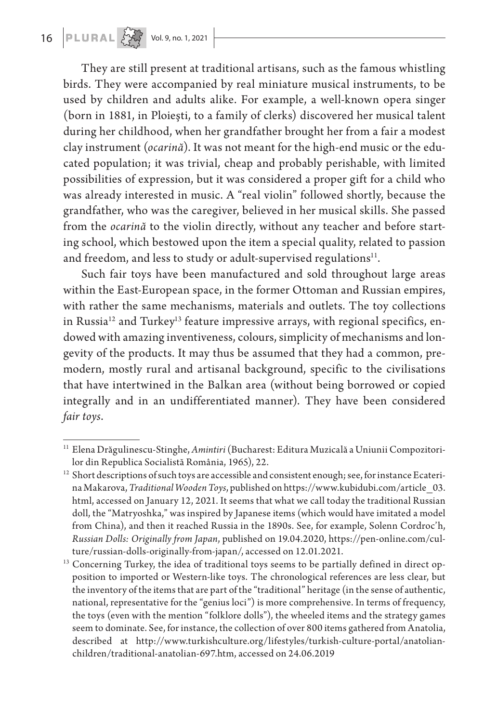**16 PLURAL**  $\frac{1}{2}$  Vol. 9, no. 1, 2021

They are still present at traditional artisans, such as the famous whistling birds. They were accompanied by real miniature musical instruments, to be used by children and adults alike. For example, a well-known opera singer (born in 1881, in Ploieşti, to a family of clerks) discovered her musical talent during her childhood, when her grandfather brought her from a fair a modest clay instrument (*ocarină*). It was not meant for the high-end music or the educated population; it was trivial, cheap and probably perishable, with limited possibilities of expression, but it was considered a proper gift for a child who was already interested in music. A "real violin" followed shortly, because the grandfather, who was the caregiver, believed in her musical skills. She passed from the *ocarină* to the violin directly, without any teacher and before starting school, which bestowed upon the item a special quality, related to passion and freedom, and less to study or adult-supervised regulations<sup>11</sup>.

Such fair toys have been manufactured and sold throughout large areas within the East-European space, in the former Ottoman and Russian empires, with rather the same mechanisms, materials and outlets. The toy collections in Russia<sup>12</sup> and Turkey<sup>13</sup> feature impressive arrays, with regional specifics, endowed with amazing inventiveness, colours, simplicity of mechanisms and longevity of the products. It may thus be assumed that they had a common, premodern, mostly rural and artisanal background, specific to the civilisations that have intertwined in the Balkan area (without being borrowed or copied integrally and in an undifferentiated manner). They have been considered *fair toys*.

<sup>11</sup> Elena Drăgulinescu-Stinghe, *Amintiri* (Bucharest: Editura Muzicală a Uniunii Compozitorilor din Republica Socialistă România, 1965), 22.

<sup>&</sup>lt;sup>12</sup> Short descriptions of such toys are accessible and consistent enough; see, for instance Ecaterina Makarova, *Traditional Wooden Toys*, published on https://www.kubidubi.com/article\_03. html, accessed on January 12, 2021. It seems that what we call today the traditional Russian doll, the "Matryoshka," was inspired by Japanese items (which would have imitated a model from China), and then it reached Russia in the 1890s. See, for example, Solenn Cordroc'h, *Russian Dolls: Originally from Japan*, published on 19.04.2020, https://pen-online.com/culture/russian-dolls-originally-from-japan/, accessed on 12.01.2021.

<sup>&</sup>lt;sup>13</sup> Concerning Turkey, the idea of traditional toys seems to be partially defined in direct opposition to imported or Western-like toys. The chronological references are less clear, but the inventory of the items that are part of the "traditional" heritage (in the sense of authentic, national, representative for the "genius loci") is more comprehensive. In terms of frequency, the toys (even with the mention "folklore dolls"), the wheeled items and the strategy games seem to dominate. See, for instance, the collection of over 800 items gathered from Anatolia, described at http://www.turkishculture.org/lifestyles/turkish-culture-portal/anatolianchildren/traditional-anatolian-697.htm, accessed on 24.06.2019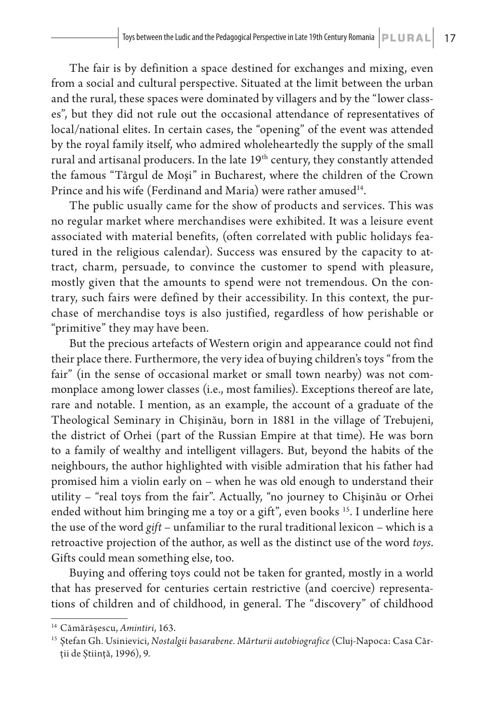The fair is by definition a space destined for exchanges and mixing, even from a social and cultural perspective. Situated at the limit between the urban and the rural, these spaces were dominated by villagers and by the "lower classes", but they did not rule out the occasional attendance of representatives of local/national elites. In certain cases, the "opening" of the event was attended by the royal family itself, who admired wholeheartedly the supply of the small rural and artisanal producers. In the late 19<sup>th</sup> century, they constantly attended the famous "Târgul de Moşi" in Bucharest, where the children of the Crown Prince and his wife (Ferdinand and Maria) were rather amused<sup>14</sup>.

The public usually came for the show of products and services. This was no regular market where merchandises were exhibited. It was a leisure event associated with material benefits, (often correlated with public holidays featured in the religious calendar). Success was ensured by the capacity to attract, charm, persuade, to convince the customer to spend with pleasure, mostly given that the amounts to spend were not tremendous. On the contrary, such fairs were defined by their accessibility. In this context, the purchase of merchandise toys is also justified, regardless of how perishable or "primitive" they may have been.

But the precious artefacts of Western origin and appearance could not find their place there. Furthermore, the very idea of buying children's toys "from the fair" (in the sense of occasional market or small town nearby) was not commonplace among lower classes (i.e., most families). Exceptions thereof are late, rare and notable. I mention, as an example, the account of a graduate of the Theological Seminary in Chişinău, born in 1881 in the village of Trebujeni, the district of Orhei (part of the Russian Empire at that time). He was born to a family of wealthy and intelligent villagers. But, beyond the habits of the neighbours, the author highlighted with visible admiration that his father had promised him a violin early on – when he was old enough to understand their utility – "real toys from the fair". Actually, "no journey to Chişinău or Orhei ended without him bringing me a toy or a gift", even books <sup>15</sup>. I underline here the use of the word *gift* – unfamiliar to the rural traditional lexicon – which is a retroactive projection of the author, as well as the distinct use of the word *toys*. Gifts could mean something else, too.

Buying and offering toys could not be taken for granted, mostly in a world that has preserved for centuries certain restrictive (and coercive) representations of children and of childhood, in general. The "discovery" of childhood

<sup>14</sup> Cămărăşescu, *Amintiri*, 163.

<sup>15</sup> Ştefan Gh. Usinievici, *Nostalgii basarabene. Mărturii autobiografice* (Cluj-Napoca: Casa Cărţii de Ştiinţă, 1996), 9.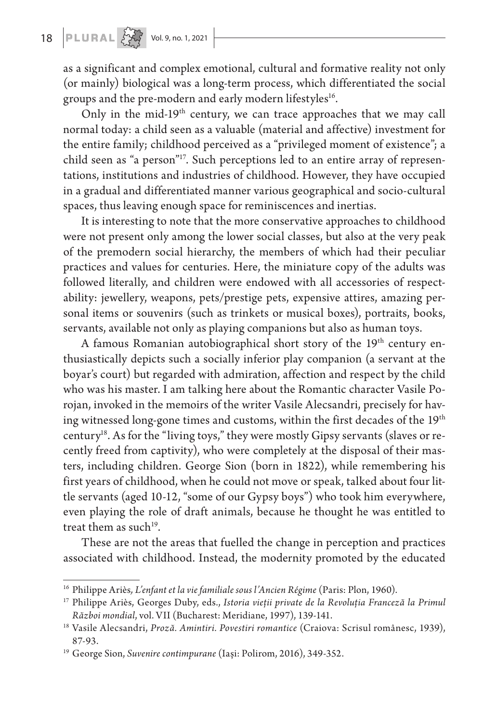as a significant and complex emotional, cultural and formative reality not only (or mainly) biological was a long-term process, which differentiated the social groups and the pre-modern and early modern lifestyles<sup>16</sup>.

Only in the mid-19<sup>th</sup> century, we can trace approaches that we may call normal today: a child seen as a valuable (material and affective) investment for the entire family; childhood perceived as a "privileged moment of existence"; a child seen as "a person"17. Such perceptions led to an entire array of representations, institutions and industries of childhood. However, they have occupied in a gradual and differentiated manner various geographical and socio-cultural spaces, thus leaving enough space for reminiscences and inertias.

It is interesting to note that the more conservative approaches to childhood were not present only among the lower social classes, but also at the very peak of the premodern social hierarchy, the members of which had their peculiar practices and values for centuries. Here, the miniature copy of the adults was followed literally, and children were endowed with all accessories of respectability: jewellery, weapons, pets/prestige pets, expensive attires, amazing personal items or souvenirs (such as trinkets or musical boxes), portraits, books, servants, available not only as playing companions but also as human toys.

A famous Romanian autobiographical short story of the 19<sup>th</sup> century enthusiastically depicts such a socially inferior play companion (a servant at the boyar's court) but regarded with admiration, affection and respect by the child who was his master. I am talking here about the Romantic character Vasile Porojan, invoked in the memoirs of the writer Vasile Alecsandri, precisely for having witnessed long-gone times and customs, within the first decades of the 19<sup>th</sup> century18. As for the "living toys," they were mostly Gipsy servants (slaves or recently freed from captivity), who were completely at the disposal of their masters, including children. George Sion (born in 1822), while remembering his first years of childhood, when he could not move or speak, talked about four little servants (aged 10-12, "some of our Gypsy boys") who took him everywhere, even playing the role of draft animals, because he thought he was entitled to treat them as such<sup>19</sup>.

These are not the areas that fuelled the change in perception and practices associated with childhood. Instead, the modernity promoted by the educated

<sup>16</sup> Philippe Ariès*, L'enfant et la vie familiale sous l'Ancien Régime* (Paris: Plon, 1960).

<sup>17</sup> Philippe Ariès, Georges Duby, eds., *Istoria vieţii private de la Revoluţia Franceză la Primul Război mondial*, vol. VII (Bucharest: Meridiane, 1997), 139-141.

<sup>18</sup> Vasile Alecsandri, *Proză. Amintiri. Povestiri romantice* (Craiova: Scrisul românesc, 1939), 87-93.

<sup>19</sup> George Sion, *Suvenire contimpurane* (Iaşi: Polirom, 2016), 349-352.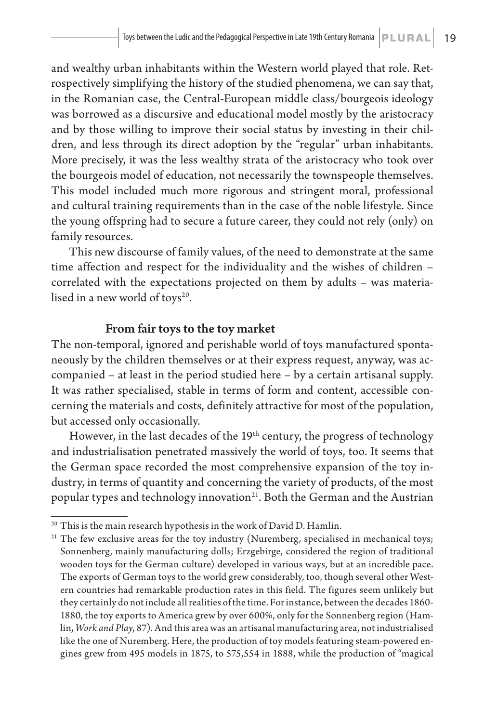and wealthy urban inhabitants within the Western world played that role. Retrospectively simplifying the history of the studied phenomena, we can say that, in the Romanian case, the Central-European middle class/bourgeois ideology was borrowed as a discursive and educational model mostly by the aristocracy and by those willing to improve their social status by investing in their children, and less through its direct adoption by the "regular" urban inhabitants. More precisely, it was the less wealthy strata of the aristocracy who took over the bourgeois model of education, not necessarily the townspeople themselves. This model included much more rigorous and stringent moral, professional and cultural training requirements than in the case of the noble lifestyle. Since the young offspring had to secure a future career, they could not rely (only) on family resources.

This new discourse of family values, of the need to demonstrate at the same time affection and respect for the individuality and the wishes of children – correlated with the expectations projected on them by adults – was materialised in a new world of toys $20$ .

### From fair toys to the toy market

The non-temporal, ignored and perishable world of toys manufactured spontaneously by the children themselves or at their express request, anyway, was accompanied – at least in the period studied here – by a certain artisanal supply. It was rather specialised, stable in terms of form and content, accessible concerning the materials and costs, definitely attractive for most of the population, but accessed only occasionally.

However, in the last decades of the  $19<sup>th</sup>$  century, the progress of technology and industrialisation penetrated massively the world of toys, too. It seems that the German space recorded the most comprehensive expansion of the toy industry, in terms of quantity and concerning the variety of products, of the most popular types and technology innovation<sup>21</sup>. Both the German and the Austrian

 $^{20}$  This is the main research hypothesis in the work of David D. Hamlin.

<sup>&</sup>lt;sup>21</sup> The few exclusive areas for the toy industry (Nuremberg, specialised in mechanical toys; Sonnenberg, mainly manufacturing dolls; Erzgebirge, considered the region of traditional wooden toys for the German culture) developed in various ways, but at an incredible pace. The exports of German toys to the world grew considerably, too, though several other Western countries had remarkable production rates in this field. The figures seem unlikely but they certainly do not include all realities of the time. For instance, between the decades 1860- 1880, the toy exports to America grew by over 600%, only for the Sonnenberg region (Hamlin, *Work and Play*, 87). And this area was an artisanal manufacturing area, not industrialised like the one of Nuremberg. Here, the production of toy models featuring steam-powered engines grew from 495 models in 1875, to 575,554 in 1888, while the production of "magical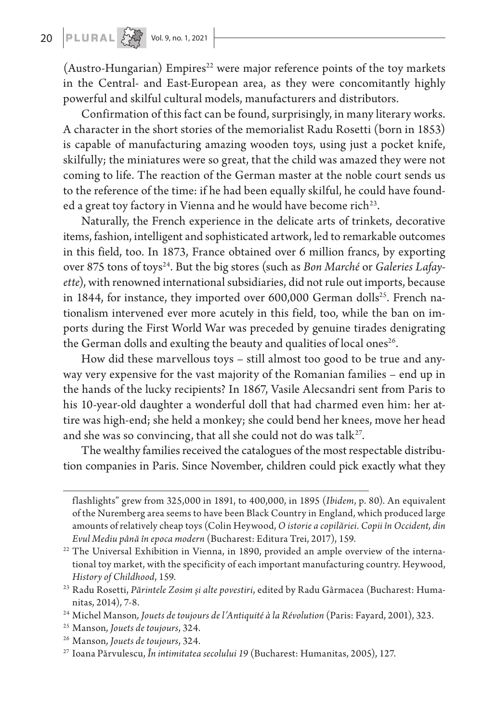(Austro-Hungarian) Empires<sup>22</sup> were major reference points of the toy markets in the Central- and East-European area, as they were concomitantly highly powerful and skilful cultural models, manufacturers and distributors.

Confirmation of this fact can be found, surprisingly, in many literary works. A character in the short stories of the memorialist Radu Rosetti (born in 1853) is capable of manufacturing amazing wooden toys, using just a pocket knife, skilfully; the miniatures were so great, that the child was amazed they were not coming to life. The reaction of the German master at the noble court sends us to the reference of the time: if he had been equally skilful, he could have founded a great toy factory in Vienna and he would have become rich<sup>23</sup>.

Naturally, the French experience in the delicate arts of trinkets, decorative items, fashion, intelligent and sophisticated artwork, led to remarkable outcomes in this field, too. In 1873, France obtained over 6 million francs, by exporting over 875 tons of toys24. But the big stores (such as *Bon Marché* or *Galeries Lafayette*), with renowned international subsidiaries, did not rule out imports, because in 1844, for instance, they imported over  $600,000$  German dolls<sup>25</sup>. French nationalism intervened ever more acutely in this field, too, while the ban on imports during the First World War was preceded by genuine tirades denigrating the German dolls and exulting the beauty and qualities of local ones<sup>26</sup>.

How did these marvellous toys – still almost too good to be true and anyway very expensive for the vast majority of the Romanian families – end up in the hands of the lucky recipients? In 1867, Vasile Alecsandri sent from Paris to his 10-year-old daughter a wonderful doll that had charmed even him: her attire was high-end; she held a monkey; she could bend her knees, move her head and she was so convincing, that all she could not do was talk $2^7$ .

The wealthy families received the catalogues of the most respectable distribution companies in Paris. Since November, children could pick exactly what they

flashlights" grew from 325,000 in 1891, to 400,000, in 1895 (*Ibidem*, p. 80). An equivalent of the Nuremberg area seems to have been Black Country in England, which produced large amounts of relatively cheap toys (Colin Heywood, *O istorie a copilăriei. Copii în Occident, din Evul Mediu până în epoca modern* (Bucharest: Editura Trei, 2017), 159.

<sup>&</sup>lt;sup>22</sup> The Universal Exhibition in Vienna, in 1890, provided an ample overview of the international toy market, with the specificity of each important manufacturing country. Heywood, *History of Childhood*, 159.

<sup>23</sup> Radu Rosetti, *Părintele Zosim şi alte povestiri*, edited by Radu Gârmacea (Bucharest: Humanitas, 2014), 7-8.

<sup>24</sup> Michel Manson*, Jouets de toujours de l'Antiquité à la Révolution* (Paris: Fayard, 2001), 323.

<sup>25</sup> Manson*, Jouets de toujours*, 324. 26 Manson*, Jouets de toujours*, 324.

<sup>27</sup> Ioana Părvulescu, *În intimitatea secolului 19* (Bucharest: Humanitas, 2005), 127.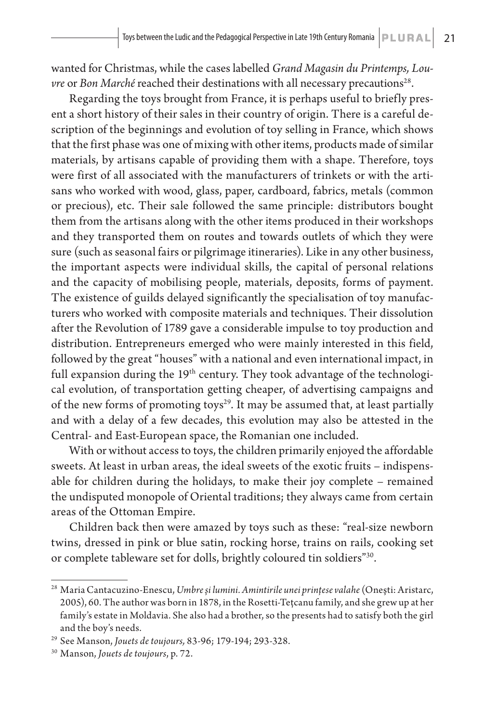wanted for Christmas, while the cases labelled *Grand Magasin du Printemps, Louvre* or *Bon Marché* reached their destinations with all necessary precautions<sup>28</sup>.

Regarding the toys brought from France, it is perhaps useful to briefly present a short history of their sales in their country of origin. There is a careful description of the beginnings and evolution of toy selling in France, which shows that the first phase was one of mixing with other items, products made of similar materials, by artisans capable of providing them with a shape. Therefore, toys were first of all associated with the manufacturers of trinkets or with the artisans who worked with wood, glass, paper, cardboard, fabrics, metals (common or precious), etc. Their sale followed the same principle: distributors bought them from the artisans along with the other items produced in their workshops and they transported them on routes and towards outlets of which they were sure (such as seasonal fairs or pilgrimage itineraries). Like in any other business, the important aspects were individual skills, the capital of personal relations and the capacity of mobilising people, materials, deposits, forms of payment. The existence of guilds delayed significantly the specialisation of toy manufacturers who worked with composite materials and techniques. Their dissolution after the Revolution of 1789 gave a considerable impulse to toy production and distribution. Entrepreneurs emerged who were mainly interested in this field, followed by the great "houses" with a national and even international impact, in full expansion during the  $19<sup>th</sup>$  century. They took advantage of the technological evolution, of transportation getting cheaper, of advertising campaigns and of the new forms of promoting toys<sup>29</sup>. It may be assumed that, at least partially and with a delay of a few decades, this evolution may also be attested in the Central- and East-European space, the Romanian one included.

With or without access to toys, the children primarily enjoyed the affordable sweets. At least in urban areas, the ideal sweets of the exotic fruits – indispensable for children during the holidays, to make their joy complete – remained the undisputed monopole of Oriental traditions; they always came from certain areas of the Ottoman Empire.

Children back then were amazed by toys such as these: "real-size newborn twins, dressed in pink or blue satin, rocking horse, trains on rails, cooking set or complete tableware set for dolls, brightly coloured tin soldiers"<sup>30</sup>.

<sup>28</sup> Maria Cantacuzino-Enescu, *Umbre şi lumini. Amintirile unei prinţese valahe* (Oneşti: Aristarc, 2005), 60. The author was born in 1878, in the Rosetti-Teţcanu family, and she grew up at her family's estate in Moldavia. She also had a brother, so the presents had to satisfy both the girl and the boy's needs.

<sup>29</sup> See Manson, *Jouets de toujours,* 83-96; 179-194; 293-328.

<sup>30</sup> Manson, *Jouets de toujours*, p. 72.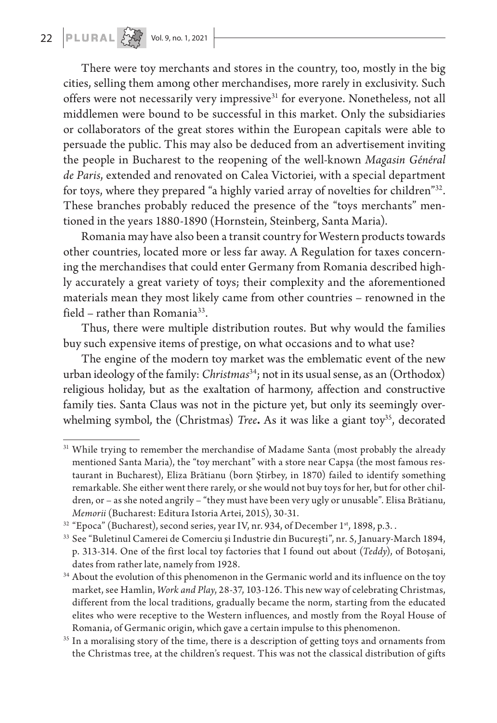There were toy merchants and stores in the country, too, mostly in the big cities, selling them among other merchandises, more rarely in exclusivity. Such offers were not necessarily very impressive<sup>31</sup> for everyone. Nonetheless, not all middlemen were bound to be successful in this market. Only the subsidiaries or collaborators of the great stores within the European capitals were able to persuade the public. This may also be deduced from an advertisement inviting the people in Bucharest to the reopening of the well-known *Magasin Général de Paris*, extended and renovated on Calea Victoriei, with a special department for toys, where they prepared "a highly varied array of novelties for children"32. These branches probably reduced the presence of the "toys merchants" mentioned in the years 1880-1890 (Hornstein, Steinberg, Santa Maria).

Romania may have also been a transit country for Western products towards other countries, located more or less far away. A Regulation for taxes concerning the merchandises that could enter Germany from Romania described highly accurately a great variety of toys; their complexity and the aforementioned materials mean they most likely came from other countries – renowned in the field – rather than Romania<sup>33</sup>.

Thus, there were multiple distribution routes. But why would the families buy such expensive items of prestige, on what occasions and to what use?

The engine of the modern toy market was the emblematic event of the new urban ideology of the family: *Christmas*34; not in its usual sense, as an (Orthodox) religious holiday, but as the exaltation of harmony, affection and constructive family ties. Santa Claus was not in the picture yet, but only its seemingly overwhelming symbol, the (Christmas) *Tree*. As it was like a giant toy<sup>35</sup>, decorated

<sup>&</sup>lt;sup>31</sup> While trying to remember the merchandise of Madame Santa (most probably the already mentioned Santa Maria), the "toy merchant" with a store near Capşa (the most famous restaurant in Bucharest), Eliza Brătianu (born Ştirbey, in 1870) failed to identify something remarkable. She either went there rarely, or she would not buy toys for her, but for other children, or – as she noted angrily – "they must have been very ugly or unusable". Elisa Brătianu, *Memorii* (Bucharest: Editura Istoria Artei, 2015), 30-31.

<sup>&</sup>lt;sup>32</sup> "Epoca" (Bucharest), second series, year IV, nr. 934, of December 1<sup>st</sup>, 1898, p.3..

<sup>33</sup> See "Buletinul Camerei de Comerciu şi Industrie din Bucureşti", nr. 5, January-March 1894, p. 313-314. One of the first local toy factories that I found out about (*Teddy*), of Botoşani, dates from rather late, namely from 1928.

<sup>&</sup>lt;sup>34</sup> About the evolution of this phenomenon in the Germanic world and its influence on the toy market, see Hamlin, *Work and Play*, 28-37, 103-126. This new way of celebrating Christmas, different from the local traditions, gradually became the norm, starting from the educated elites who were receptive to the Western influences, and mostly from the Royal House of Romania, of Germanic origin, which gave a certain impulse to this phenomenon.

<sup>&</sup>lt;sup>35</sup> In a moralising story of the time, there is a description of getting toys and ornaments from the Christmas tree, at the children's request. This was not the classical distribution of gifts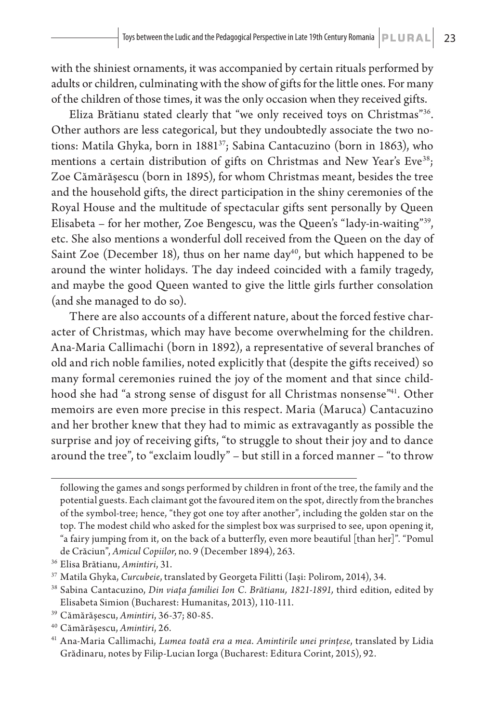with the shiniest ornaments, it was accompanied by certain rituals performed by adults or children, culminating with the show of gifts for the little ones. For many of the children of those times, it was the only occasion when they received gifts.

Eliza Brătianu stated clearly that "we only received toys on Christmas"36. Other authors are less categorical, but they undoubtedly associate the two notions: Matila Ghyka, born in 188137; Sabina Cantacuzino (born in 1863), who mentions a certain distribution of gifts on Christmas and New Year's Eve<sup>38</sup>; Zoe Cămărăşescu (born in 1895), for whom Christmas meant, besides the tree and the household gifts, the direct participation in the shiny ceremonies of the Royal House and the multitude of spectacular gifts sent personally by Queen Elisabeta – for her mother, Zoe Bengescu, was the Queen's "lady-in-waiting"39, etc. She also mentions a wonderful doll received from the Queen on the day of Saint Zoe (December 18), thus on her name day<sup>40</sup>, but which happened to be around the winter holidays. The day indeed coincided with a family tragedy, and maybe the good Queen wanted to give the little girls further consolation (and she managed to do so).

There are also accounts of a different nature, about the forced festive character of Christmas, which may have become overwhelming for the children. Ana-Maria Callimachi (born in 1892), a representative of several branches of old and rich noble families, noted explicitly that (despite the gifts received) so many formal ceremonies ruined the joy of the moment and that since childhood she had "a strong sense of disgust for all Christmas nonsense<sup>"41</sup>. Other memoirs are even more precise in this respect. Maria (Maruca) Cantacuzino and her brother knew that they had to mimic as extravagantly as possible the surprise and joy of receiving gifts, "to struggle to shout their joy and to dance around the tree", to "exclaim loudly" – but still in a forced manner – "to throw

following the games and songs performed by children in front of the tree, the family and the potential guests. Each claimant got the favoured item on the spot, directly from the branches of the symbol-tree; hence, "they got one toy after another", including the golden star on the top. The modest child who asked for the simplest box was surprised to see, upon opening it, "a fairy jumping from it, on the back of a butterfly, even more beautiful [than her]". "Pomul de Crăciun", *Amicul Copiilor*, no. 9 (December 1894), 263.

<sup>&</sup>lt;sup>36</sup> Elisa Brătianu, *Amintiri*, 31.<br><sup>37</sup> Matila Ghyka, *Curcubeie*, translated by Georgeta Filitti (Iaşi: Polirom, 2014), 34.

<sup>38</sup> Sabina Cantacuzino, *Din viaţa familiei Ion C. Brătianu, 1821-1891,* third edition, edited by Elisabeta Simion (Bucharest: Humanitas, 2013), 110-111.

<sup>39</sup> Cămărăşescu, *Amintiri*, 36-37; 80-85.

<sup>40</sup> Cămărăşescu, *Amintiri*, 26.

<sup>41</sup> Ana-Maria Callimachi, *Lumea toată era a mea*. *Amintirile unei prinţese*, translated by Lidia Grădinaru, notes by Filip-Lucian Iorga (Bucharest: Editura Corint, 2015), 92.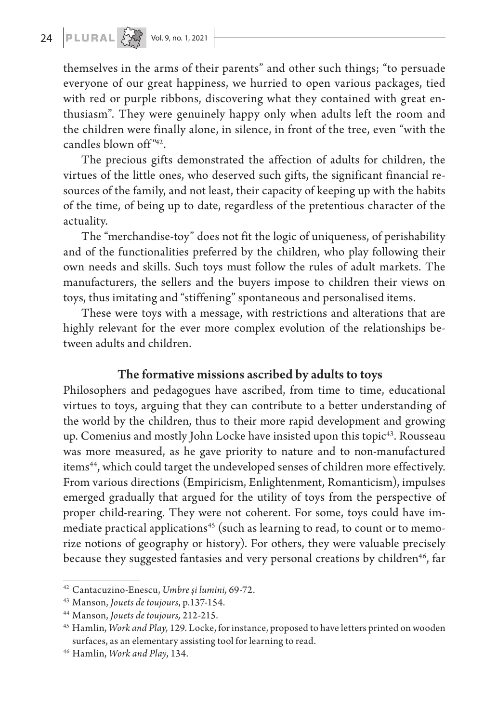# 24 **PLURAL**  $\left[\overrightarrow{X}\right]$  Vol. 9, no. 1, 2021

themselves in the arms of their parents" and other such things; "to persuade everyone of our great happiness, we hurried to open various packages, tied with red or purple ribbons, discovering what they contained with great enthusiasm". They were genuinely happy only when adults left the room and the children were finally alone, in silence, in front of the tree, even "with the candles blown off<sup>"42</sup>.

The precious gifts demonstrated the affection of adults for children, the virtues of the little ones, who deserved such gifts, the significant financial resources of the family, and not least, their capacity of keeping up with the habits of the time, of being up to date, regardless of the pretentious character of the actuality.

The "merchandise-toy" does not fit the logic of uniqueness, of perishability and of the functionalities preferred by the children, who play following their own needs and skills. Such toys must follow the rules of adult markets. The manufacturers, the sellers and the buyers impose to children their views on toys, thus imitating and "stiffening" spontaneous and personalised items.

These were toys with a message, with restrictions and alterations that are highly relevant for the ever more complex evolution of the relationships between adults and children.

### The formative missions ascribed by adults to toys

Philosophers and pedagogues have ascribed, from time to time, educational virtues to toys, arguing that they can contribute to a better understanding of the world by the children, thus to their more rapid development and growing up. Comenius and mostly John Locke have insisted upon this topic<sup>43</sup>. Rousseau was more measured, as he gave priority to nature and to non-manufactured items<sup>44</sup>, which could target the undeveloped senses of children more effectively. From various directions (Empiricism, Enlightenment, Romanticism), impulses emerged gradually that argued for the utility of toys from the perspective of proper child-rearing. They were not coherent. For some, toys could have immediate practical applications<sup>45</sup> (such as learning to read, to count or to memorize notions of geography or history). For others, they were valuable precisely because they suggested fantasies and very personal creations by children<sup>46</sup>, far

<sup>42</sup> Cantacuzino-Enescu, *Umbre și lumini,* 69-72.

<sup>43</sup> Manson, *Jouets de toujours*, p.137-154.

<sup>44</sup> Manson, *Jouets de toujours,* 212-215.

<sup>45</sup> Hamlin, *Work and Play*, 129. Locke, for instance, proposed to have letters printed on wooden surfaces, as an elementary assisting tool for learning to read.

<sup>46</sup> Hamlin, *Work and Play*, 134.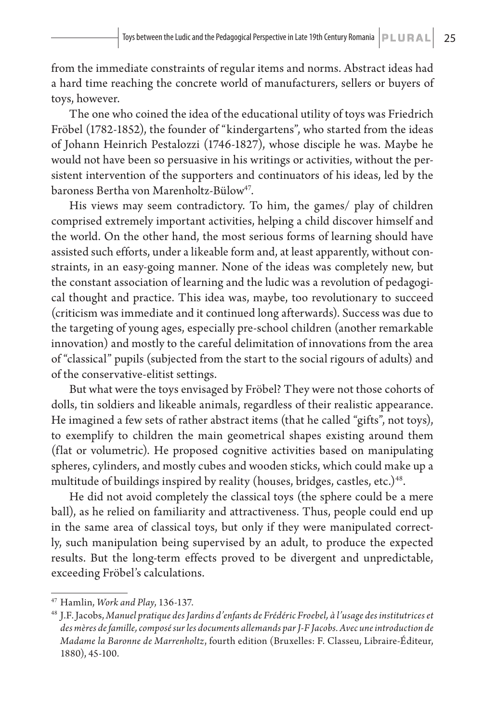from the immediate constraints of regular items and norms. Abstract ideas had a hard time reaching the concrete world of manufacturers, sellers or buyers of toys, however.

The one who coined the idea of the educational utility of toys was Friedrich Fröbel (1782-1852), the founder of "kindergartens", who started from the ideas of Johann Heinrich Pestalozzi (1746-1827), whose disciple he was. Maybe he would not have been so persuasive in his writings or activities, without the persistent intervention of the supporters and continuators of his ideas, led by the baroness Bertha von Marenholtz-Bülow<sup>47</sup>.

His views may seem contradictory. To him, the games/ play of children comprised extremely important activities, helping a child discover himself and the world. On the other hand, the most serious forms of learning should have assisted such efforts, under a likeable form and, at least apparently, without constraints, in an easy-going manner. None of the ideas was completely new, but the constant association of learning and the ludic was a revolution of pedagogical thought and practice. This idea was, maybe, too revolutionary to succeed (criticism was immediate and it continued long afterwards). Success was due to the targeting of young ages, especially pre-school children (another remarkable innovation) and mostly to the careful delimitation of innovations from the area of "classical" pupils (subjected from the start to the social rigours of adults) and of the conservative-elitist settings.

But what were the toys envisaged by Fröbel? They were not those cohorts of dolls, tin soldiers and likeable animals, regardless of their realistic appearance. He imagined a few sets of rather abstract items (that he called "gifts", not toys), to exemplify to children the main geometrical shapes existing around them (flat or volumetric). He proposed cognitive activities based on manipulating spheres, cylinders, and mostly cubes and wooden sticks, which could make up a multitude of buildings inspired by reality (houses, bridges, castles, etc.)<sup>48</sup>.

He did not avoid completely the classical toys (the sphere could be a mere ball), as he relied on familiarity and attractiveness. Thus, people could end up in the same area of classical toys, but only if they were manipulated correctly, such manipulation being supervised by an adult, to produce the expected results. But the long-term effects proved to be divergent and unpredictable, exceeding Fröbel's calculations.

<sup>47</sup> Hamlin, *Work and Play*, 136-137.

<sup>48</sup> J.F. Jacobs, *Manuel pratique des Jardins d'enfants de Frédéric Froebel, à l'usage des institutrices et des mères de famille, composé sur les documents allemands par J-F Jacobs. Avec une introduction de Madame la Baronne de Marrenholtz*, fourth edition (Bruxelles: F. Classeu, Libraire-Éditeur, 1880), 45-100.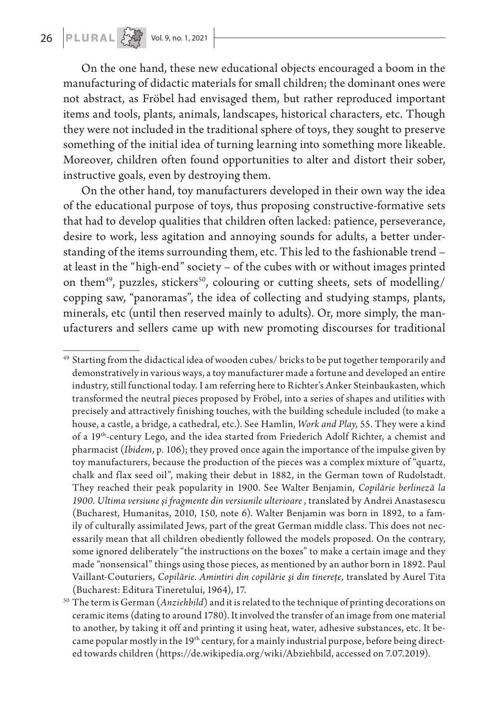On the one hand, these new educational objects encouraged a boom in the manufacturing of didactic materials for small children; the dominant ones were not abstract, as Fröbel had envisaged them, but rather reproduced important items and tools, plants, animals, landscapes, historical characters, etc. Though they were not included in the traditional sphere of toys, they sought to preserve something of the initial idea of turning learning into something more likeable. Moreover, children often found opportunities to alter and distort their sober, instructive goals, even by destroying them.

On the other hand, toy manufacturers developed in their own way the idea of the educational purpose of toys, thus proposing constructive-formative sets that had to develop qualities that children often lacked: patience, perseverance, desire to work, less agitation and annoying sounds for adults, a better understanding of the items surrounding them, etc. This led to the fashionable trend – at least in the "high-end" society – of the cubes with or without images printed on them<sup>49</sup>, puzzles, stickers<sup>50</sup>, colouring or cutting sheets, sets of modelling/ copping saw, "panoramas", the idea of collecting and studying stamps, plants, minerals, etc (until then reserved mainly to adults). Or, more simply, the manufacturers and sellers came up with new promoting discourses for traditional

<sup>49</sup> Starting from the didactical idea of wooden cubes/ bricks to be put together temporarily and demonstratively in various ways, a toy manufacturer made a fortune and developed an entire industry, still functional today. I am referring here to Richter's Anker Steinbaukasten, which transformed the neutral pieces proposed by Fröbel, into a series of shapes and utilities with precisely and attractively finishing touches, with the building schedule included (to make a house, a castle, a bridge, a cathedral, etc.). See Hamlin, *Work and Play*, 55. They were a kind of a 19th-century Lego, and the idea started from Friederich Adolf Richter, a chemist and pharmacist (*Ibidem*, p. 106); they proved once again the importance of the impulse given by toy manufacturers, because the production of the pieces was a complex mixture of "quartz, chalk and flax seed oil", making their debut in 1882, in the German town of Rudolstadt. They reached their peak popularity in 1900. See Walter Benjamin, *Copilărie berlineză la 1900. Ultima versiune şi fragmente din versiunile ulterioare* , translated by Andrei Anastasescu (Bucharest, Humanitas, 2010, 150, note 6). Walter Benjamin was born in 1892, to a family of culturally assimilated Jews, part of the great German middle class. This does not necessarily mean that all children obediently followed the models proposed. On the contrary, some ignored deliberately "the instructions on the boxes" to make a certain image and they made "nonsensical" things using those pieces, as mentioned by an author born in 1892. Paul Vaillant-Couturiers, *Copilărie. Amintiri din copilărie şi din tinereţe*, translated by Aurel Tita (Bucharest: Editura Tineretului, 1964), 17.

<sup>50</sup> The term is German (*Anziehbild*) and it is related to the technique of printing decorations on ceramic items (dating to around 1780). It involved the transfer of an image from one material to another, by taking it off and printing it using heat, water, adhesive substances, etc. It became popular mostly in the 19<sup>th</sup> century, for a mainly industrial purpose, before being directed towards children (https://de.wikipedia.org/wiki/Abziehbild, accessed on 7.07.2019).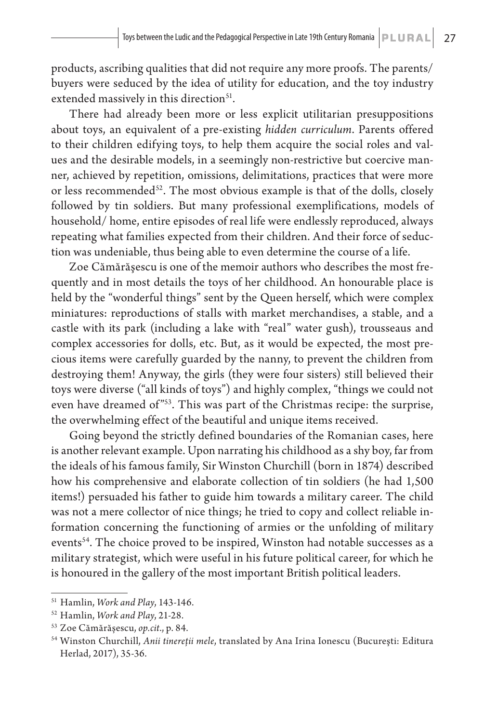products, ascribing qualities that did not require any more proofs. The parents/ buyers were seduced by the idea of utility for education, and the toy industry extended massively in this direction<sup>51</sup>.

There had already been more or less explicit utilitarian presuppositions about toys, an equivalent of a pre-existing *hidden curriculum*. Parents offered to their children edifying toys, to help them acquire the social roles and values and the desirable models, in a seemingly non-restrictive but coercive manner, achieved by repetition, omissions, delimitations, practices that were more or less recommended<sup>52</sup>. The most obvious example is that of the dolls, closely followed by tin soldiers. But many professional exemplifications, models of household/ home, entire episodes of real life were endlessly reproduced, always repeating what families expected from their children. And their force of seduction was undeniable, thus being able to even determine the course of a life.

Zoe Cămărăşescu is one of the memoir authors who describes the most frequently and in most details the toys of her childhood. An honourable place is held by the "wonderful things" sent by the Queen herself, which were complex miniatures: reproductions of stalls with market merchandises, a stable, and a castle with its park (including a lake with "real" water gush), trousseaus and complex accessories for dolls, etc. But, as it would be expected, the most precious items were carefully guarded by the nanny, to prevent the children from destroying them! Anyway, the girls (they were four sisters) still believed their toys were diverse ("all kinds of toys") and highly complex, "things we could not even have dreamed of"<sup>53</sup>. This was part of the Christmas recipe: the surprise, the overwhelming effect of the beautiful and unique items received.

Going beyond the strictly defined boundaries of the Romanian cases, here is another relevant example. Upon narrating his childhood as a shy boy, far from the ideals of his famous family, Sir Winston Churchill (born in 1874) described how his comprehensive and elaborate collection of tin soldiers (he had 1,500 items!) persuaded his father to guide him towards a military career. The child was not a mere collector of nice things; he tried to copy and collect reliable information concerning the functioning of armies or the unfolding of military events<sup>54</sup>. The choice proved to be inspired, Winston had notable successes as a military strategist, which were useful in his future political career, for which he is honoured in the gallery of the most important British political leaders.

<sup>51</sup> Hamlin, *Work and Play*, 143-146.

<sup>52</sup> Hamlin, *Work and Play*, 21-28.

<sup>53</sup> Zoe Cămărăşescu, *op.cit*., p. 84.

<sup>54</sup> Winston Churchill, *Anii tinereţii mele*, translated by Ana Irina Ionescu (Bucureşti: Editura Herlad, 2017), 35-36.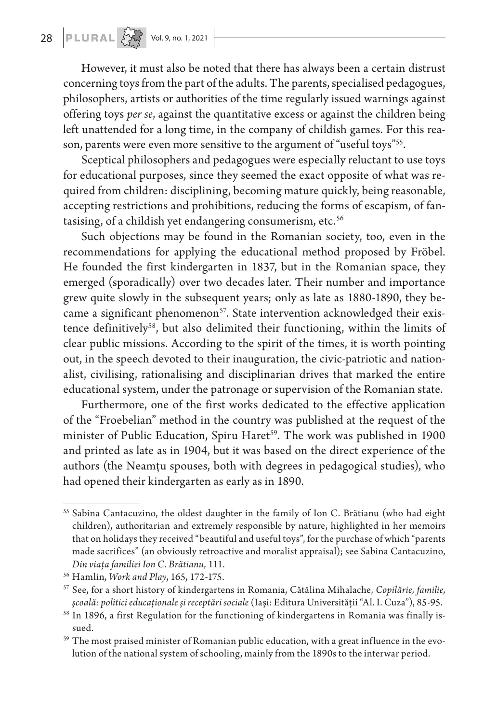However, it must also be noted that there has always been a certain distrust concerning toys from the part of the adults. The parents, specialised pedagogues, philosophers, artists or authorities of the time regularly issued warnings against offering toys *per se*, against the quantitative excess or against the children being left unattended for a long time, in the company of childish games. For this reason, parents were even more sensitive to the argument of "useful toys"<sup>55</sup>.

Sceptical philosophers and pedagogues were especially reluctant to use toys for educational purposes, since they seemed the exact opposite of what was required from children: disciplining, becoming mature quickly, being reasonable, accepting restrictions and prohibitions, reducing the forms of escapism, of fantasising, of a childish yet endangering consumerism, etc.<sup>56</sup>

Such objections may be found in the Romanian society, too, even in the recommendations for applying the educational method proposed by Fröbel. He founded the first kindergarten in 1837, but in the Romanian space, they emerged (sporadically) over two decades later. Their number and importance grew quite slowly in the subsequent years; only as late as 1880-1890, they became a significant phenomenon<sup>57</sup>. State intervention acknowledged their existence definitively<sup>58</sup>, but also delimited their functioning, within the limits of clear public missions. According to the spirit of the times, it is worth pointing out, in the speech devoted to their inauguration, the civic-patriotic and nationalist, civilising, rationalising and disciplinarian drives that marked the entire educational system, under the patronage or supervision of the Romanian state.

Furthermore, one of the first works dedicated to the effective application of the "Froebelian" method in the country was published at the request of the minister of Public Education, Spiru Haret<sup>59</sup>. The work was published in 1900 and printed as late as in 1904, but it was based on the direct experience of the authors (the Neamţu spouses, both with degrees in pedagogical studies), who had opened their kindergarten as early as in 1890.

<sup>&</sup>lt;sup>55</sup> Sabina Cantacuzino, the oldest daughter in the family of Ion C. Brătianu (who had eight children), authoritarian and extremely responsible by nature, highlighted in her memoirs that on holidays they received "beautiful and useful toys", for the purchase of which "parents made sacrifices" (an obviously retroactive and moralist appraisal); see Sabina Cantacuzino, *Din viaţa familiei Ion C. Brătianu,* 111.

<sup>56</sup> Hamlin, *Work and Play*, 165, 172-175.

<sup>57</sup> See, for a short history of kindergartens in Romania, Cătălina Mihalache, *Copilărie, familie, şcoală: politici educaţionale şi receptări sociale* (Iaşi: Editura Universităţii "Al. I. Cuza"), 85-95.

<sup>&</sup>lt;sup>58</sup> In 1896, a first Regulation for the functioning of kindergartens in Romania was finally issued.

<sup>59</sup> The most praised minister of Romanian public education, with a great influence in the evolution of the national system of schooling, mainly from the 1890s to the interwar period.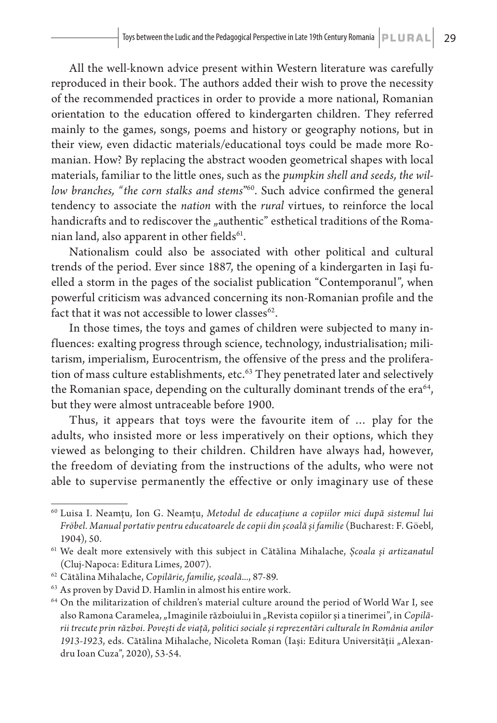All the well-known advice present within Western literature was carefully reproduced in their book. The authors added their wish to prove the necessity of the recommended practices in order to provide a more national, Romanian orientation to the education offered to kindergarten children. They referred mainly to the games, songs, poems and history or geography notions, but in their view, even didactic materials/educational toys could be made more Romanian. How? By replacing the abstract wooden geometrical shapes with local materials, familiar to the little ones, such as the *pumpkin shell and seeds, the willow branches, "the corn stalks and stems*" 60. Such advice confirmed the general tendency to associate the *nation* with the *rural* virtues, to reinforce the local handicrafts and to rediscover the "authentic" esthetical traditions of the Romanian land, also apparent in other fields $61$ .

Nationalism could also be associated with other political and cultural trends of the period. Ever since 1887, the opening of a kindergarten in Iaşi fuelled a storm in the pages of the socialist publication "Contemporanul", when powerful criticism was advanced concerning its non-Romanian profile and the fact that it was not accessible to lower classes $62$ .

In those times, the toys and games of children were subjected to many influences: exalting progress through science, technology, industrialisation; militarism, imperialism, Eurocentrism, the offensive of the press and the proliferation of mass culture establishments, etc. $63$  They penetrated later and selectively the Romanian space, depending on the culturally dominant trends of the era $64$ , but they were almost untraceable before 1900.

Thus, it appears that toys were the favourite item of … play for the adults, who insisted more or less imperatively on their options, which they viewed as belonging to their children. Children have always had, however, the freedom of deviating from the instructions of the adults, who were not able to supervise permanently the effective or only imaginary use of these

<sup>60</sup> Luisa I. Neamţu, Ion G. Neamţu, *Metodul de educaţiune a copiilor mici după sistemul lui Fröbel. Manual portativ pentru educatoarele de copii din şcoală şi familie* (Bucharest: F. Göebl, 1904), 50.

<sup>61</sup> We dealt more extensively with this subject in Cătălina Mihalache, *Şcoala şi artizanatul* (Cluj-Napoca: Editura Limes, 2007).

<sup>62</sup> Cătălina Mihalache, *Copilărie, familie, şcoală...*, 87-89.

<sup>63</sup> As proven by David D. Hamlin in almost his entire work.

<sup>64</sup> On the militarization of children's material culture around the period of World War I, see also Ramona Caramelea, "Imaginile războiului în "Revista copiilor și a tinerimei", in *Copilării trecute prin război. Poveşti de viaţă, politici sociale şi reprezentări culturale în România anilor*  1913-1923, eds. Cătălina Mihalache, Nicoleta Roman (Iași: Editura Universității "Alexandru Ioan Cuza", 2020), 53-54.